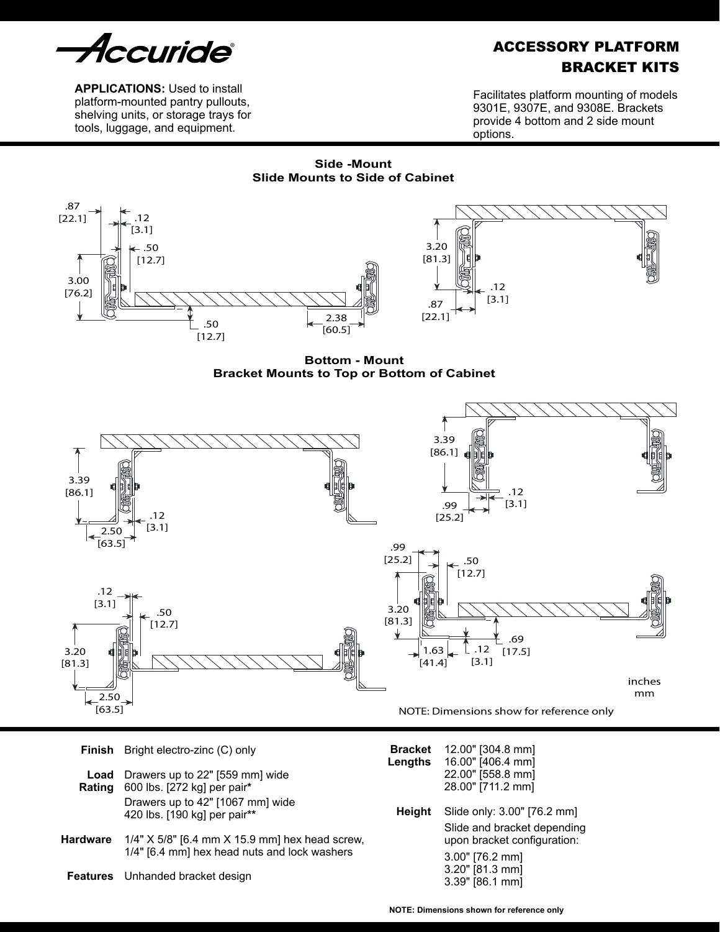

**APPLICATIONS:** Used to install platform-mounted pantry pullouts, shelving units, or storage trays for tools, luggage, and equipment.

# ACCESSORY PLATFORM BRACKET KITS

Facilitates platform mounting of models 9301E, 9307E, and 9308E. Brackets provide 4 bottom and 2 side mount options.

**Side -Mount Slide Mounts to Side of Cabinet**



**Bottom - Mount Bracket Mounts to Top or Bottom of Cabinet**



|                | <b>Finish</b> Bright electro-zinc (C) only                       | <b>Bracket</b><br>Lengths | 12.00" [304.8 mm]<br>16.00" [406.4 mm]<br>22.00" [558.8 mm]<br>28.00" [711.2 mm] |  |  |
|----------------|------------------------------------------------------------------|---------------------------|----------------------------------------------------------------------------------|--|--|
| Load<br>Rating | Drawers up to 22" [559 mm] wide<br>600 lbs. [272 kg] per pair*   |                           |                                                                                  |  |  |
|                | Drawers up to 42" [1067 mm] wide<br>420 lbs. [190 kg] per pair** | Height                    | Slide only: 3.00" [76.2 mm]                                                      |  |  |
| Hardware       | 1/4" $X$ 5/8" [6.4 mm $X$ 15.9 mm] hex head screw,               |                           | Slide and bracket depending<br>upon bracket configuration:                       |  |  |
|                | 1/4" [6.4 mm] hex head nuts and lock washers                     |                           | 3.00" [76.2 mm]                                                                  |  |  |
|                | <b>Features</b> Unhanded bracket design                          |                           | $3.20"$ [81.3 mm]<br>3.39" [86.1 mm]                                             |  |  |